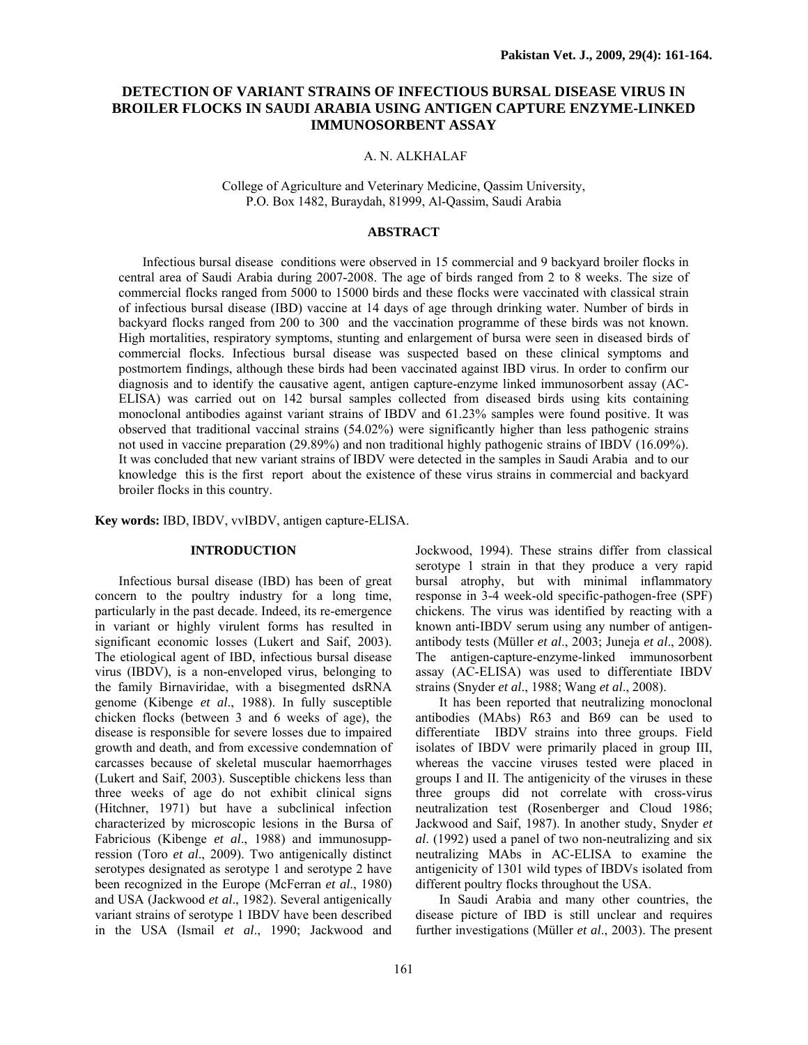# **DETECTION OF VARIANT STRAINS OF INFECTIOUS BURSAL DISEASE VIRUS IN BROILER FLOCKS IN SAUDI ARABIA USING ANTIGEN CAPTURE ENZYME-LINKED IMMUNOSORBENT ASSAY**

## A. N. ALKHALAF

College of Agriculture and Veterinary Medicine, Qassim University, P.O. Box 1482, Buraydah, 81999, Al-Qassim, Saudi Arabia

# **ABSTRACT**

Infectious bursal disease conditions were observed in 15 commercial and 9 backyard broiler flocks in central area of Saudi Arabia during 2007-2008. The age of birds ranged from 2 to 8 weeks. The size of commercial flocks ranged from 5000 to 15000 birds and these flocks were vaccinated with classical strain of infectious bursal disease (IBD) vaccine at 14 days of age through drinking water. Number of birds in backyard flocks ranged from 200 to 300 and the vaccination programme of these birds was not known. High mortalities, respiratory symptoms, stunting and enlargement of bursa were seen in diseased birds of commercial flocks. Infectious bursal disease was suspected based on these clinical symptoms and postmortem findings, although these birds had been vaccinated against IBD virus. In order to confirm our diagnosis and to identify the causative agent, antigen capture-enzyme linked immunosorbent assay (AC-ELISA) was carried out on 142 bursal samples collected from diseased birds using kits containing monoclonal antibodies against variant strains of IBDV and 61.23% samples were found positive. It was observed that traditional vaccinal strains (54.02%) were significantly higher than less pathogenic strains not used in vaccine preparation (29.89%) and non traditional highly pathogenic strains of IBDV (16.09%). It was concluded that new variant strains of IBDV were detected in the samples in Saudi Arabia and to our knowledge this is the first report about the existence of these virus strains in commercial and backyard broiler flocks in this country.

**Key words:** IBD, IBDV, vvIBDV, antigen capture-ELISA.

# **INTRODUCTION**

Infectious bursal disease (IBD) has been of great concern to the poultry industry for a long time, particularly in the past decade. Indeed, its re-emergence in variant or highly virulent forms has resulted in significant economic losses (Lukert and Saif, 2003). The etiological agent of IBD, infectious bursal disease virus (IBDV), is a non-enveloped virus, belonging to the family Birnaviridae, with a bisegmented dsRNA genome (Kibenge *et al*., 1988). In fully susceptible chicken flocks (between 3 and 6 weeks of age), the disease is responsible for severe losses due to impaired growth and death, and from excessive condemnation of carcasses because of skeletal muscular haemorrhages (Lukert and Saif, 2003). Susceptible chickens less than three weeks of age do not exhibit clinical signs (Hitchner, 1971) but have a subclinical infection characterized by microscopic lesions in the Bursa of Fabricious (Kibenge *et al*., 1988) and immunosuppression (Toro *et al*., 2009). Two antigenically distinct serotypes designated as serotype 1 and serotype 2 have been recognized in the Europe (McFerran *et al*., 1980) and USA (Jackwood *et al*., 1982). Several antigenically variant strains of serotype 1 IBDV have been described in the USA (Ismail *et al*., 1990; Jackwood and

Jockwood, 1994). These strains differ from classical serotype 1 strain in that they produce a very rapid bursal atrophy, but with minimal inflammatory response in 3-4 week-old specific-pathogen-free (SPF) chickens. The virus was identified by reacting with a known anti-IBDV serum using any number of antigenantibody tests (Müller *et al*., 2003; Juneja *et al*., 2008). The antigen-capture-enzyme-linked immunosorbent assay (AC-ELISA) was used to differentiate IBDV strains (Snyder *et al*., 1988; Wang *et al*., 2008).

It has been reported that neutralizing monoclonal antibodies (MAbs) R63 and B69 can be used to differentiate IBDV strains into three groups. Field isolates of IBDV were primarily placed in group III, whereas the vaccine viruses tested were placed in groups I and II. The antigenicity of the viruses in these three groups did not correlate with cross-virus neutralization test (Rosenberger and Cloud 1986; Jackwood and Saif, 1987). In another study, Snyder *et al*. (1992) used a panel of two non-neutralizing and six neutralizing MAbs in AC-ELISA to examine the antigenicity of 1301 wild types of IBDVs isolated from different poultry flocks throughout the USA.

In Saudi Arabia and many other countries, the disease picture of IBD is still unclear and requires further investigations (Müller *et al*., 2003). The present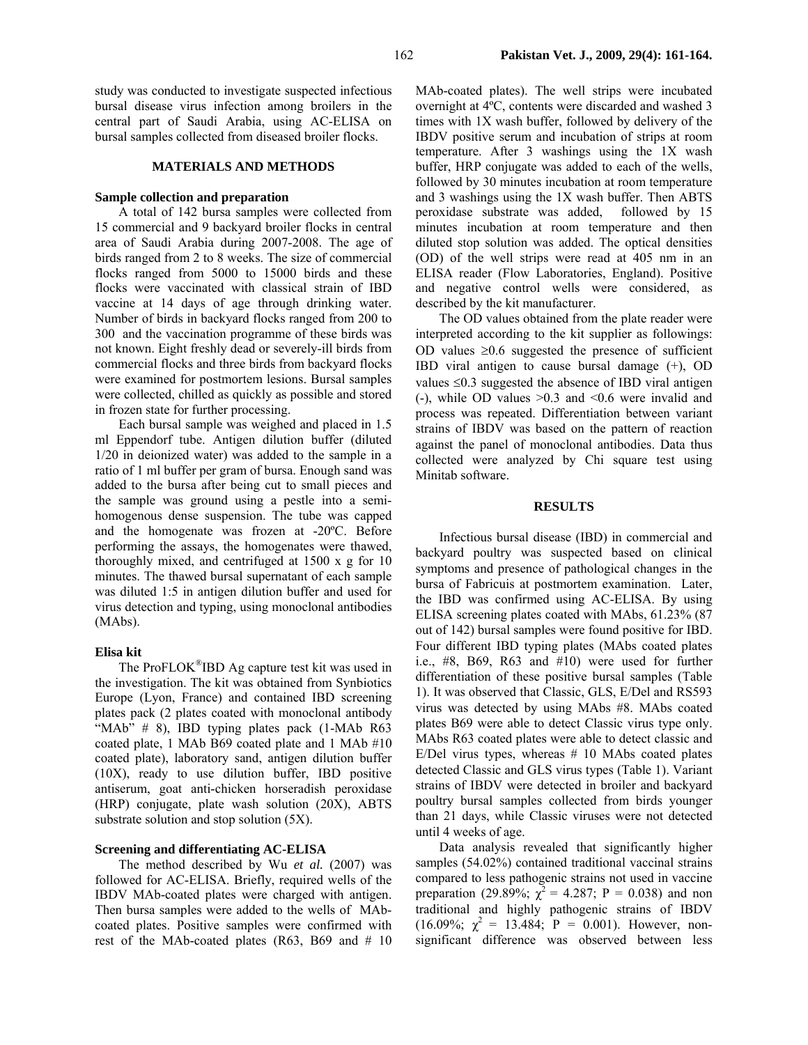study was conducted to investigate suspected infectious bursal disease virus infection among broilers in the central part of Saudi Arabia, using AC-ELISA on bursal samples collected from diseased broiler flocks.

### **MATERIALS AND METHODS**

#### **Sample collection and preparation**

A total of 142 bursa samples were collected from 15 commercial and 9 backyard broiler flocks in central area of Saudi Arabia during 2007-2008. The age of birds ranged from 2 to 8 weeks. The size of commercial flocks ranged from 5000 to 15000 birds and these flocks were vaccinated with classical strain of IBD vaccine at 14 days of age through drinking water. Number of birds in backyard flocks ranged from 200 to 300 and the vaccination programme of these birds was not known. Eight freshly dead or severely-ill birds from commercial flocks and three birds from backyard flocks were examined for postmortem lesions. Bursal samples were collected, chilled as quickly as possible and stored in frozen state for further processing.

Each bursal sample was weighed and placed in 1.5 ml Eppendorf tube. Antigen dilution buffer (diluted 1/20 in deionized water) was added to the sample in a ratio of 1 ml buffer per gram of bursa. Enough sand was added to the bursa after being cut to small pieces and the sample was ground using a pestle into a semihomogenous dense suspension. The tube was capped and the homogenate was frozen at -20ºC. Before performing the assays, the homogenates were thawed, thoroughly mixed, and centrifuged at 1500 x g for 10 minutes. The thawed bursal supernatant of each sample was diluted 1:5 in antigen dilution buffer and used for virus detection and typing, using monoclonal antibodies (MAbs).

#### **Elisa kit**

The ProFLOK®IBD Ag capture test kit was used in the investigation. The kit was obtained from Synbiotics Europe (Lyon, France) and contained IBD screening plates pack (2 plates coated with monoclonal antibody "MAb" # 8), IBD typing plates pack (1-MAb R63 coated plate, 1 MAb B69 coated plate and 1 MAb #10 coated plate), laboratory sand, antigen dilution buffer (10X), ready to use dilution buffer, IBD positive antiserum, goat anti-chicken horseradish peroxidase (HRP) conjugate, plate wash solution (20X), ABTS substrate solution and stop solution (5X).

# **Screening and differentiating AC-ELISA**

The method described by Wu *et al.* (2007) was followed for AC-ELISA. Briefly, required wells of the IBDV MAb-coated plates were charged with antigen. Then bursa samples were added to the wells of MAbcoated plates. Positive samples were confirmed with rest of the MAb-coated plates  $(R63, B69, and # 10)$  MAb-coated plates). The well strips were incubated overnight at 4ºC, contents were discarded and washed 3 times with 1X wash buffer, followed by delivery of the IBDV positive serum and incubation of strips at room temperature. After 3 washings using the 1X wash buffer, HRP conjugate was added to each of the wells, followed by 30 minutes incubation at room temperature and 3 washings using the 1X wash buffer. Then ABTS peroxidase substrate was added, followed by 15 minutes incubation at room temperature and then diluted stop solution was added. The optical densities (OD) of the well strips were read at 405 nm in an ELISA reader (Flow Laboratories, England). Positive and negative control wells were considered, as described by the kit manufacturer.

The OD values obtained from the plate reader were interpreted according to the kit supplier as followings: OD values  $\geq 0.6$  suggested the presence of sufficient IBD viral antigen to cause bursal damage (+), OD values  $\leq 0.3$  suggested the absence of IBD viral antigen (-), while OD values  $>0.3$  and  $< 0.6$  were invalid and process was repeated. Differentiation between variant strains of IBDV was based on the pattern of reaction against the panel of monoclonal antibodies. Data thus collected were analyzed by Chi square test using Minitab software.

### **RESULTS**

Infectious bursal disease (IBD) in commercial and backyard poultry was suspected based on clinical symptoms and presence of pathological changes in the bursa of Fabricuis at postmortem examination. Later, the IBD was confirmed using AC-ELISA. By using ELISA screening plates coated with MAbs, 61.23% (87 out of 142) bursal samples were found positive for IBD. Four different IBD typing plates (MAbs coated plates i.e., #8, B69, R63 and #10) were used for further differentiation of these positive bursal samples (Table 1). It was observed that Classic, GLS, E/Del and RS593 virus was detected by using MAbs #8. MAbs coated plates B69 were able to detect Classic virus type only. MAbs R63 coated plates were able to detect classic and E/Del virus types, whereas  $# 10$  MAbs coated plates detected Classic and GLS virus types (Table 1). Variant strains of IBDV were detected in broiler and backyard poultry bursal samples collected from birds younger than 21 days, while Classic viruses were not detected until 4 weeks of age.

Data analysis revealed that significantly higher samples (54.02%) contained traditional vaccinal strains compared to less pathogenic strains not used in vaccine preparation (29.89%;  $\chi^2 = 4.287$ ; P = 0.038) and non traditional and highly pathogenic strains of IBDV  $(16.09\%; \chi^2 = 13.484; P = 0.001)$ . However, nonsignificant difference was observed between less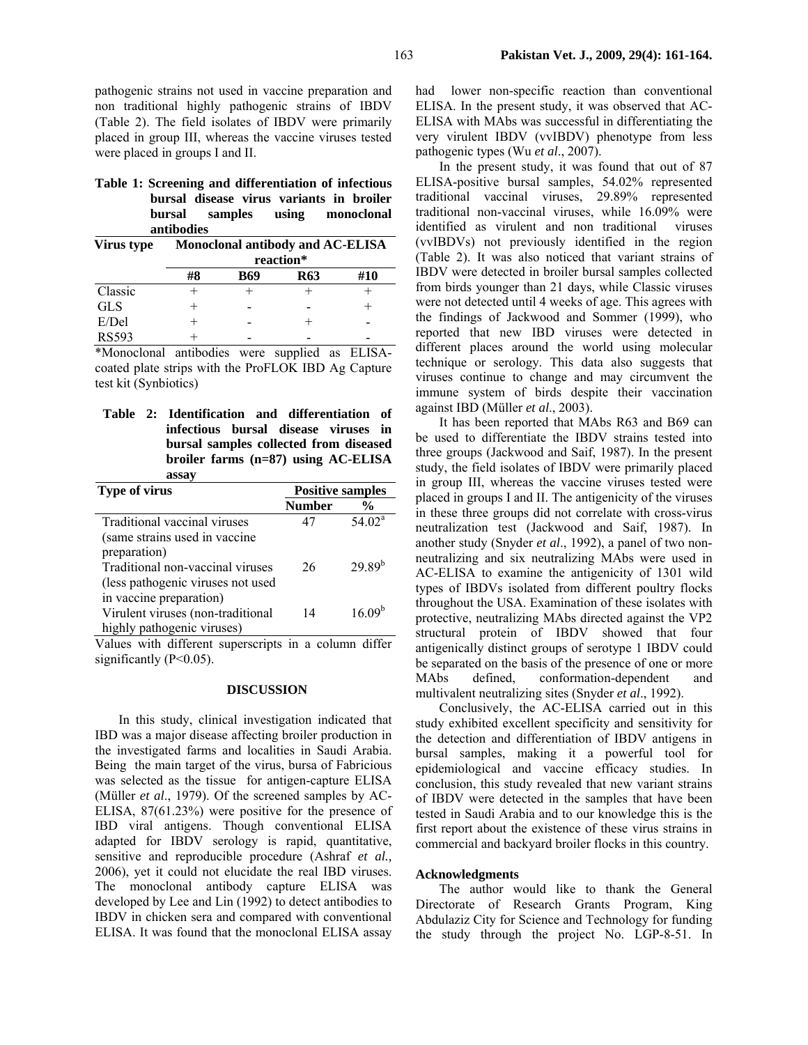pathogenic strains not used in vaccine preparation and non traditional highly pathogenic strains of IBDV (Table 2). The field isolates of IBDV were primarily placed in group III, whereas the vaccine viruses tested were placed in groups I and II.

**Table 1: Screening and differentiation of infectious bursal disease virus variants in broiler bursal samples using monoclonal antibodies** 

| Virus type   | Monoclonal antibody and AC-ELISA<br>reaction* |     |            |     |
|--------------|-----------------------------------------------|-----|------------|-----|
|              |                                               |     |            |     |
|              | #8                                            | B69 | <b>R63</b> | #10 |
| Classic      |                                               |     |            |     |
| <b>GLS</b>   |                                               |     |            |     |
| E/Del        |                                               |     |            |     |
| <b>RS593</b> |                                               |     |            |     |

\*Monoclonal antibodies were supplied as ELISAcoated plate strips with the ProFLOK IBD Ag Capture test kit (Synbiotics)

**Table 2: Identification and differentiation of infectious bursal disease viruses in bursal samples collected from diseased broiler farms (n=87) using AC-ELISA assay** 

| Type of virus                     | <b>Positive samples</b> |                    |
|-----------------------------------|-------------------------|--------------------|
|                                   | <b>Number</b>           | $\frac{6}{9}$      |
| Traditional vaccinal viruses      | 47                      | $54.02^a$          |
| (same strains used in vaccine)    |                         |                    |
| preparation)                      |                         |                    |
| Traditional non-vaccinal viruses  | 26                      | $29.89^{b}$        |
| (less pathogenic viruses not used |                         |                    |
| in vaccine preparation)           |                         |                    |
| Virulent viruses (non-traditional | 14                      | 16.09 <sup>b</sup> |
| highly pathogenic viruses)        |                         |                    |

Values with different superscripts in a column differ significantly  $(P<0.05)$ .

# **DISCUSSION**

In this study, clinical investigation indicated that IBD was a major disease affecting broiler production in the investigated farms and localities in Saudi Arabia. Being the main target of the virus, bursa of Fabricious was selected as the tissue for antigen-capture ELISA (Müller *et al*., 1979). Of the screened samples by AC-ELISA, 87(61.23%) were positive for the presence of IBD viral antigens. Though conventional ELISA adapted for IBDV serology is rapid, quantitative, sensitive and reproducible procedure (Ashraf *et al.,* 2006), yet it could not elucidate the real IBD viruses. The monoclonal antibody capture ELISA was developed by Lee and Lin (1992) to detect antibodies to IBDV in chicken sera and compared with conventional ELISA. It was found that the monoclonal ELISA assay

had lower non-specific reaction than conventional ELISA. In the present study, it was observed that AC-ELISA with MAbs was successful in differentiating the very virulent IBDV (vvIBDV) phenotype from less pathogenic types (Wu *et al*., 2007).

In the present study, it was found that out of 87 ELISA-positive bursal samples, 54.02% represented traditional vaccinal viruses, 29.89% represented traditional non-vaccinal viruses, while 16.09% were identified as virulent and non traditional viruses (vvIBDVs) not previously identified in the region (Table 2). It was also noticed that variant strains of IBDV were detected in broiler bursal samples collected from birds younger than 21 days, while Classic viruses were not detected until 4 weeks of age. This agrees with the findings of Jackwood and Sommer (1999), who reported that new IBD viruses were detected in different places around the world using molecular technique or serology. This data also suggests that viruses continue to change and may circumvent the immune system of birds despite their vaccination against IBD (Müller *et al*., 2003).

It has been reported that MAbs R63 and B69 can be used to differentiate the IBDV strains tested into three groups (Jackwood and Saif, 1987). In the present study, the field isolates of IBDV were primarily placed in group III, whereas the vaccine viruses tested were placed in groups I and II. The antigenicity of the viruses in these three groups did not correlate with cross-virus neutralization test (Jackwood and Saif, 1987). In another study (Snyder *et al*., 1992), a panel of two nonneutralizing and six neutralizing MAbs were used in AC-ELISA to examine the antigenicity of 1301 wild types of IBDVs isolated from different poultry flocks throughout the USA. Examination of these isolates with protective, neutralizing MAbs directed against the VP2 structural protein of IBDV showed that four antigenically distinct groups of serotype 1 IBDV could be separated on the basis of the presence of one or more MAbs defined, conformation-dependent and multivalent neutralizing sites (Snyder *et al*., 1992).

Conclusively, the AC-ELISA carried out in this study exhibited excellent specificity and sensitivity for the detection and differentiation of IBDV antigens in bursal samples, making it a powerful tool for epidemiological and vaccine efficacy studies. In conclusion, this study revealed that new variant strains of IBDV were detected in the samples that have been tested in Saudi Arabia and to our knowledge this is the first report about the existence of these virus strains in commercial and backyard broiler flocks in this country.

## **Acknowledgments**

The author would like to thank the General Directorate of Research Grants Program, King Abdulaziz City for Science and Technology for funding the study through the project No. LGP-8-51. In